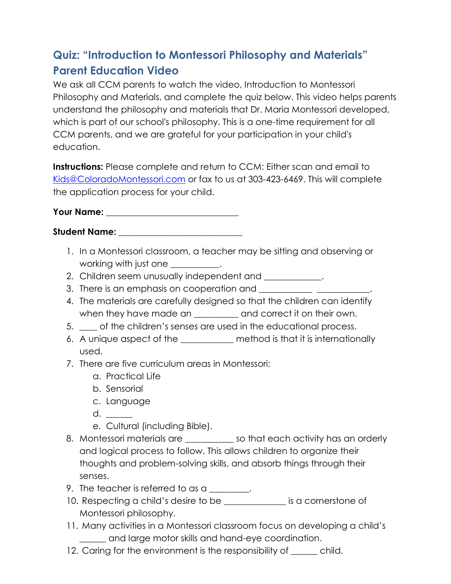## **Quiz: "Introduction to Montessori Philosophy and Materials" Parent Education Video**

We ask all CCM parents to watch the video, Introduction to Montessori Philosophy and Materials, and complete the quiz below. This video helps parents understand the philosophy and materials that Dr. Maria Montessori developed, which is part of our school's philosophy. This is a one-time requirement for all CCM parents, and we are grateful for your participation in your child's education.

**Instructions:** Please complete and return to CCM: Either scan and email to [Kids@ColoradoMontessori.com](mailto:Kids@ColoradoMontessori.com) or fax to us at 303-423-6469. This will complete the application process for your child.

**Your Name: \_\_\_\_\_\_\_\_\_\_\_\_\_\_\_\_\_\_\_\_\_\_\_\_\_\_\_\_\_** 

**Student Name:** \_\_\_\_\_\_\_\_\_\_\_\_\_\_\_\_\_\_\_\_\_\_\_\_\_\_\_\_

- 1. In a Montessori classroom, a teacher may be sitting and observing or working with just one  $\qquad \qquad$ .
- 2. Children seem unusually independent and \_\_\_\_\_\_\_\_\_\_\_\_.
- 3. There is an emphasis on cooperation and
- 4. The materials are carefully designed so that the children can identify when they have made an \_\_\_\_\_\_\_\_\_ and correct it on their own.
- 5. \_\_\_\_ of the children's senses are used in the educational process.
- 6. A unique aspect of the \_\_\_\_\_\_\_\_\_\_\_\_ method is that it is internationally used.
- 7. There are five curriculum areas in Montessori:
	- a. Practical Life
	- b. Sensorial
	- c. Language
	- d.  $\qquad \qquad$
	- e. Cultural (including Bible).
- 8. Montessori materials are \_\_\_\_\_\_\_\_\_\_\_ so that each activity has an orderly and logical process to follow. This allows children to organize their thoughts and problem-solving skills, and absorb things through their senses.
- 9. The teacher is referred to as a \_\_\_\_\_\_\_.
- 10. Respecting a child's desire to be \_\_\_\_\_\_\_\_\_\_\_\_\_\_ is a cornerstone of Montessori philosophy.
- 11. Many activities in a Montessori classroom focus on developing a child's \_\_\_\_\_\_ and large motor skills and hand-eye coordination.
- 12. Caring for the environment is the responsibility of \_\_\_\_\_\_ child.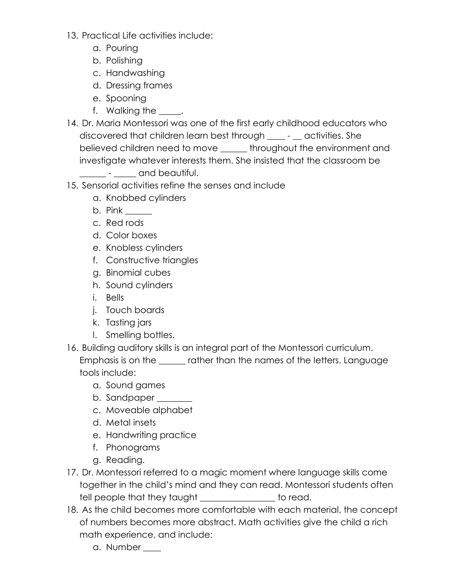- 13. Practical Life activities include:
	- a. Pouring
	- b. Polishing
	- c. Handwashing
	- d. Dressing frames
	- e. Spooning
	- f. Walking the \_\_\_\_\_.
- 14. Dr. Maria Montessori was one of the first early childhood educators who discovered that children learn best through \_\_\_\_ - \_\_ activities. She believed children need to move \_\_\_\_\_\_ throughout the environment and investigate whatever interests them. She insisted that the classroom be

\_\_\_\_\_\_ - \_\_\_\_\_ and beautiful.

- 15. Sensorial activities refine the senses and include
	- a. Knobbed cylinders
	- b. Pink \_\_\_\_\_\_
	- c. Red rods
	- d. Color boxes
	- e. Knobless cylinders
	- f. Constructive triangles
	- g. Binomial cubes
	- h. Sound cylinders
	- i. Bells
	- j. Touch boards
	- k. Tasting jars
	- l. Smelling bottles.
- 16. Building auditory skills is an integral part of the Montessori curriculum. Emphasis is on the \_\_\_\_\_\_ rather than the names of the letters. Language tools include:
	- a. Sound games
	- b. Sandpaper \_\_\_\_\_\_\_
	- c. Moveable alphabet
	- d. Metal insets
	- e. Handwriting practice
	- f. Phonograms
	- g. Reading.
- 17. Dr. Montessori referred to a magic moment where language skills come together in the child's mind and they can read. Montessori students often tell people that they taught the state of the to read.
- 18. As the child becomes more comfortable with each material, the concept of numbers becomes more abstract. Math activities give the child a rich math experience, and include:
	- a. Number